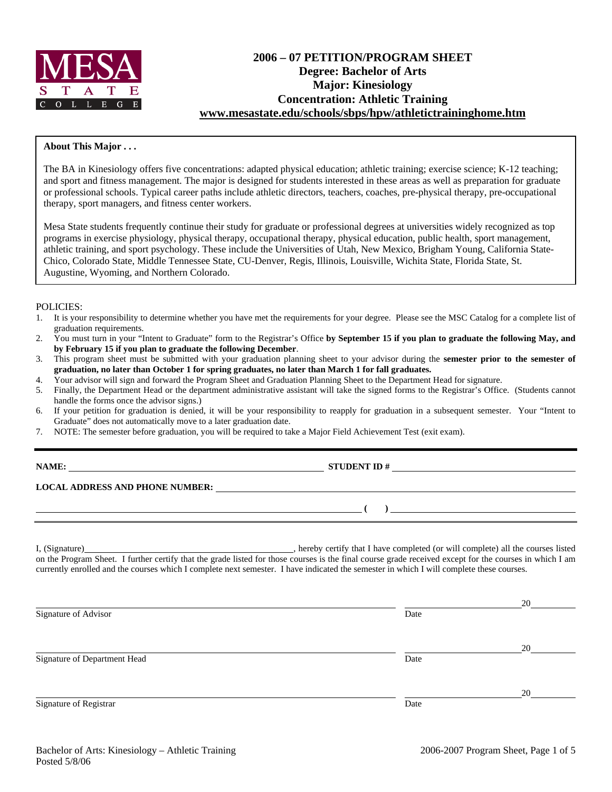

# **2006 – 07 PETITION/PROGRAM SHEET Degree: Bachelor of Arts Major: Kinesiology Concentration: Athletic Training [www.mesastate.edu/schools/sbps/hpw/athletictraininghome.htm](http://www.mesastate.edu/schools/sbps/hpw/athletictraininghome.htm)**

#### **About This Major . . .**

The BA in Kinesiology offers five concentrations: adapted physical education; athletic training; exercise science; K-12 teaching; and sport and fitness management. The major is designed for students interested in these areas as well as preparation for graduate or professional schools. Typical career paths include athletic directors, teachers, coaches, pre-physical therapy, pre-occupational therapy, sport managers, and fitness center workers.

Mesa State students frequently continue their study for graduate or professional degrees at universities widely recognized as top programs in exercise physiology, physical therapy, occupational therapy, physical education, public health, sport management, athletic training, and sport psychology. These include the Universities of Utah, New Mexico, Brigham Young, California State-Chico, Colorado State, Middle Tennessee State, CU-Denver, Regis, Illinois, Louisville, Wichita State, Florida State, St. Augustine, Wyoming, and Northern Colorado.

#### POLICIES:

- 1. It is your responsibility to determine whether you have met the requirements for your degree. Please see the MSC Catalog for a complete list of graduation requirements.
- 2. You must turn in your "Intent to Graduate" form to the Registrar's Office **by September 15 if you plan to graduate the following May, and by February 15 if you plan to graduate the following December**.
- 3. This program sheet must be submitted with your graduation planning sheet to your advisor during the **semester prior to the semester of graduation, no later than October 1 for spring graduates, no later than March 1 for fall graduates.**
- 4. Your advisor will sign and forward the Program Sheet and Graduation Planning Sheet to the Department Head for signature.
- 5. Finally, the Department Head or the department administrative assistant will take the signed forms to the Registrar's Office. (Students cannot handle the forms once the advisor signs.)
- 6. If your petition for graduation is denied, it will be your responsibility to reapply for graduation in a subsequent semester. Your "Intent to Graduate" does not automatically move to a later graduation date.

**NAMES IN STUDENT ID #** 

7. NOTE: The semester before graduation, you will be required to take a Major Field Achievement Test (exit exam).

**LOCAL ADDRESS AND PHONE NUMBER:**

I, (Signature) , hereby certify that I have completed (or will complete) all the courses listed on the Program Sheet. I further certify that the grade listed for those courses is the final course grade received except for the courses in which I am currently enrolled and the courses which I complete next semester. I have indicated the semester in which I will complete these courses.

|                              |      | 20 |
|------------------------------|------|----|
| Signature of Advisor         | Date |    |
|                              |      | 20 |
| Signature of Department Head | Date |    |
|                              |      | 20 |
| Signature of Registrar       | Date |    |

 **( )**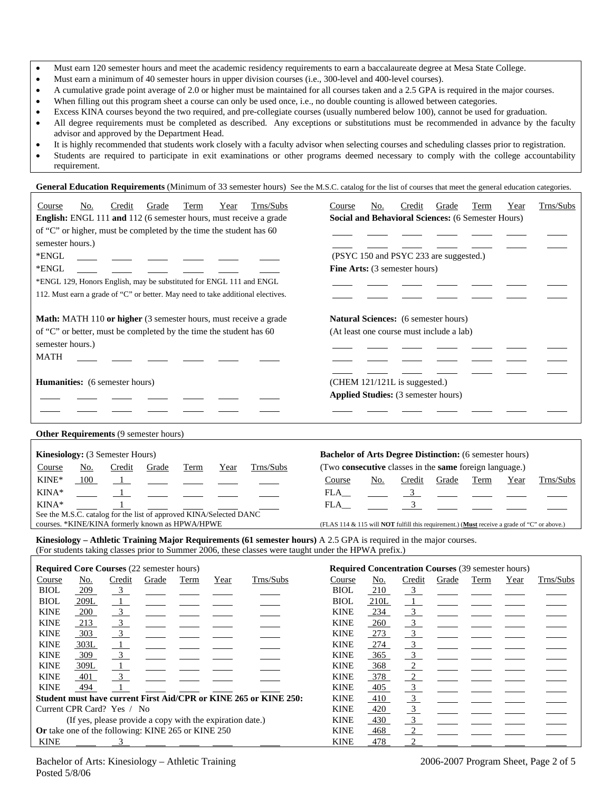|  | Must earn 120 semester hours and meet the academic residency requirements to earn a baccalaureate degree at Mesa State College. |  |  |  |  |
|--|---------------------------------------------------------------------------------------------------------------------------------|--|--|--|--|
|--|---------------------------------------------------------------------------------------------------------------------------------|--|--|--|--|

- Must earn a minimum of 40 semester hours in upper division courses (i.e., 300-level and 400-level courses).
- A cumulative grade point average of 2.0 or higher must be maintained for all courses taken and a 2.5 GPA is required in the major courses.
- When filling out this program sheet a course can only be used once, i.e., no double counting is allowed between categories.
- Excess KINA courses beyond the two required, and pre-collegiate courses (usually numbered below 100), cannot be used for graduation.
- All degree requirements must be completed as described. Any exceptions or substitutions must be recommended in advance by the faculty advisor and approved by the Department Head.
- It is highly recommended that students work closely with a faculty advisor when selecting courses and scheduling classes prior to registration.
- Students are required to participate in exit examinations or other programs deemed necessary to comply with the college accountability requirement.

General Education Requirements (Minimum of 33 semester hours) See the M.S.C. catalog for the list of courses that meet the general education categories.

| Trns/Subs<br>Course<br>Credit<br>Term<br>No.<br>Grade<br>Year<br>English: ENGL 111 and 112 (6 semester hours, must receive a grade<br>of "C" or higher, must be completed by the time the student has 60<br>semester hours.)<br>*ENGL<br>*ENGL<br>*ENGL 129, Honors English, may be substituted for ENGL 111 and ENGL<br>112. Must earn a grade of "C" or better. May need to take additional electives. | Trns/Subs<br>Course<br>Credit<br>Grade<br>Term<br>Year<br>No.<br><b>Social and Behavioral Sciences: (6 Semester Hours)</b><br>(PSYC 150 and PSYC 233 are suggested.)<br>Fine Arts: (3 semester hours)                                                                              |
|----------------------------------------------------------------------------------------------------------------------------------------------------------------------------------------------------------------------------------------------------------------------------------------------------------------------------------------------------------------------------------------------------------|------------------------------------------------------------------------------------------------------------------------------------------------------------------------------------------------------------------------------------------------------------------------------------|
| Math: MATH 110 or higher (3 semester hours, must receive a grade<br>of "C" or better, must be completed by the time the student has 60<br>semester hours.)<br><b>MATH</b>                                                                                                                                                                                                                                | Natural Sciences: (6 semester hours)<br>(At least one course must include a lab)                                                                                                                                                                                                   |
| Humanities: (6 semester hours)                                                                                                                                                                                                                                                                                                                                                                           | (CHEM 121/121L is suggested.)<br>Applied Studies: (3 semester hours)                                                                                                                                                                                                               |
| Other Requirements (9 semester hours)                                                                                                                                                                                                                                                                                                                                                                    |                                                                                                                                                                                                                                                                                    |
| Kinesiology: (3 Semester Hours)<br>Trns/Subs<br>No.<br>Credit<br>Course<br>Grade<br>Term<br>Year                                                                                                                                                                                                                                                                                                         | <b>Bachelor of Arts Degree Distinction:</b> (6 semester hours)<br>(Two consecutive classes in the same foreign language.)                                                                                                                                                          |
| KINE*<br>100<br>$\overline{1}$<br>KINA*<br>$\mathbf{1}$<br>KINA*<br>$\mathbf{1}$                                                                                                                                                                                                                                                                                                                         | Credit<br>Trns/Subs<br>Course<br>No.<br>Grade<br>Term<br>Year<br>3 <sup>1</sup><br>$FLA$ <sub>__</sub><br>$\overline{3}$<br>FLA_                                                                                                                                                   |
| See the M.S.C. catalog for the list of approved KINA/Selected DANC<br>courses. *KINE/KINA formerly known as HPWA/HPWE                                                                                                                                                                                                                                                                                    | (FLAS 114 & 115 will NOT fulfill this requirement.) (Must receive a grade of "C" or above.)                                                                                                                                                                                        |
| Kinesiology – Athletic Training Major Requirements (61 semester hours) A 2.5 GPA is required in the major courses.<br>(For students taking classes prior to Summer 2006, these classes were taught under the HPWA prefix.)                                                                                                                                                                               |                                                                                                                                                                                                                                                                                    |
| <b>Required Core Courses (22 semester hours)</b>                                                                                                                                                                                                                                                                                                                                                         | <b>Required Concentration Courses (39 semester hours)</b>                                                                                                                                                                                                                          |
| Trns/Subs<br>Course<br>No.<br>Credit<br>Grade<br>Term<br>Year<br><b>BIOL</b><br>209<br>3<br>$\overline{1}$<br><b>BIOL</b><br>209L<br><b>KINE</b><br>200<br>$\overline{3}$<br>$\mathfrak{Z}$<br><b>KINE</b><br>213<br>$\overline{3}$<br><b>KINE</b><br>303<br><b>KINE</b><br>303L<br>$\mathbf{1}$<br>309<br>3<br><b>KINE</b>                                                                              | Trns/Subs<br>Course<br>No.<br>Credit<br>Grade<br>Term<br>Year<br><b>BIOL</b><br>210<br>3<br><b>BIOL</b><br>210L<br>$\mathbf{1}$<br><b>KINE</b><br>234<br>3<br>3 <sup>7</sup><br><b>KINE</b><br>260<br>3 <sup>7</sup><br><b>KINE</b><br>273<br>3 <sup>1</sup><br><b>KINE</b><br>274 |

KINE <u>309L 1</u> \_\_\_\_\_ \_\_\_\_ \_\_\_\_ \_\_\_\_ KINE <u>368 2</u> KINE <u>401 3 \_</u> \_ \_ \_ \_ \_ \_ KINE 378 2 KINE  $\frac{494}{1}$  1 2 2 2 3 **Student must have current First Aid/CPR or KINE 265 or KINE 250:** KINE 410 Current CPR Card? Yes / No KINE 420 (If yes, please provide a copy with the expiration date.)  $\overline{KINE} = \frac{430}{430}$ **Or** take one of the following: KINE 265 or KINE 250 KINE 468

KINE <u>- 3 - - - - - - KINE 478 2</u>

Posted 5/8/06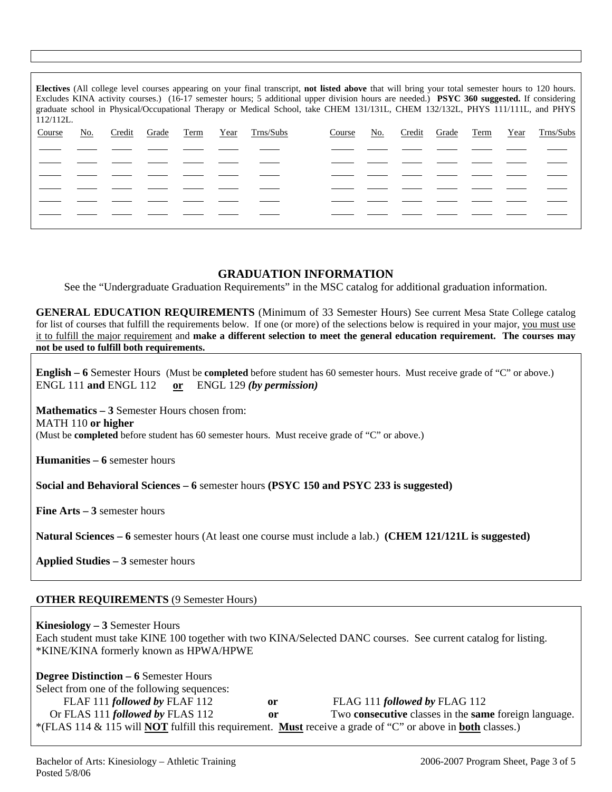| Electives (All college level courses appearing on your final transcript, not listed above that will bring your total semester hours to 120 hours.<br>Excludes KINA activity courses.) (16-17 semester hours; 5 additional upper division hours are needed.) PSYC 360 suggested. If considering<br>graduate school in Physical/Occupational Therapy or Medical School, take CHEM 131/131L, CHEM 132/132L, PHYS 111/111L, and PHYS<br>$112/112L$ . |     |        |       |      |      |           |        |     |        |       |      |      |           |
|--------------------------------------------------------------------------------------------------------------------------------------------------------------------------------------------------------------------------------------------------------------------------------------------------------------------------------------------------------------------------------------------------------------------------------------------------|-----|--------|-------|------|------|-----------|--------|-----|--------|-------|------|------|-----------|
| Course                                                                                                                                                                                                                                                                                                                                                                                                                                           | No. | Credit | Grade | Term | Year | Trns/Subs | Course | No. | Credit | Grade | Term | Year | Trns/Subs |
|                                                                                                                                                                                                                                                                                                                                                                                                                                                  |     |        |       |      |      |           |        |     |        |       |      |      |           |
|                                                                                                                                                                                                                                                                                                                                                                                                                                                  |     |        |       |      |      |           |        |     |        |       |      |      |           |
|                                                                                                                                                                                                                                                                                                                                                                                                                                                  |     |        |       |      |      |           |        |     |        |       |      |      |           |
|                                                                                                                                                                                                                                                                                                                                                                                                                                                  |     |        |       |      |      |           |        |     |        |       |      |      |           |
|                                                                                                                                                                                                                                                                                                                                                                                                                                                  |     |        |       |      |      |           |        |     |        |       |      |      |           |
|                                                                                                                                                                                                                                                                                                                                                                                                                                                  |     |        |       |      |      |           |        |     |        |       |      |      |           |

# **GRADUATION INFORMATION**

See the "Undergraduate Graduation Requirements" in the MSC catalog for additional graduation information.

**GENERAL EDUCATION REQUIREMENTS** (Minimum of 33 Semester Hours) See current Mesa State College catalog for list of courses that fulfill the requirements below. If one (or more) of the selections below is required in your major, you must use it to fulfill the major requirement and **make a different selection to meet the general education requirement. The courses may not be used to fulfill both requirements.**

**English – 6** Semester Hours (Must be **completed** before student has 60 semester hours. Must receive grade of "C" or above.) ENGL 111 **and** ENGL 112 **or** ENGL 129 *(by permission)*

**Mathematics – 3** Semester Hours chosen from: MATH 110 **or higher** (Must be **completed** before student has 60 semester hours. Must receive grade of "C" or above.)

**Humanities – 6** semester hours

**Social and Behavioral Sciences – 6** semester hours **(PSYC 150 and PSYC 233 is suggested)**

**Fine Arts – 3** semester hours

**Natural Sciences – 6** semester hours (At least one course must include a lab.) **(CHEM 121/121L is suggested)**

**Applied Studies – 3** semester hours

## **OTHER REQUIREMENTS** (9 Semester Hours)

**Kinesiology – 3** Semester Hours Each student must take KINE 100 together with two KINA/Selected DANC courses. See current catalog for listing. \*KINE/KINA formerly known as HPWA/HPWE

### **Degree Distinction – 6** Semester Hours

Select from one of the following sequences: FLAF 111 *followed by* FLAF 112 **or** FLAG 111 *followed by* FLAG 112 Or FLAS 111 *followed by* FLAS 112 **or** Two **consecutive** classes in the **same** foreign language. \*(FLAS 114 & 115 will **NOT** fulfill this requirement. **Must** receive a grade of "C" or above in **both** classes.)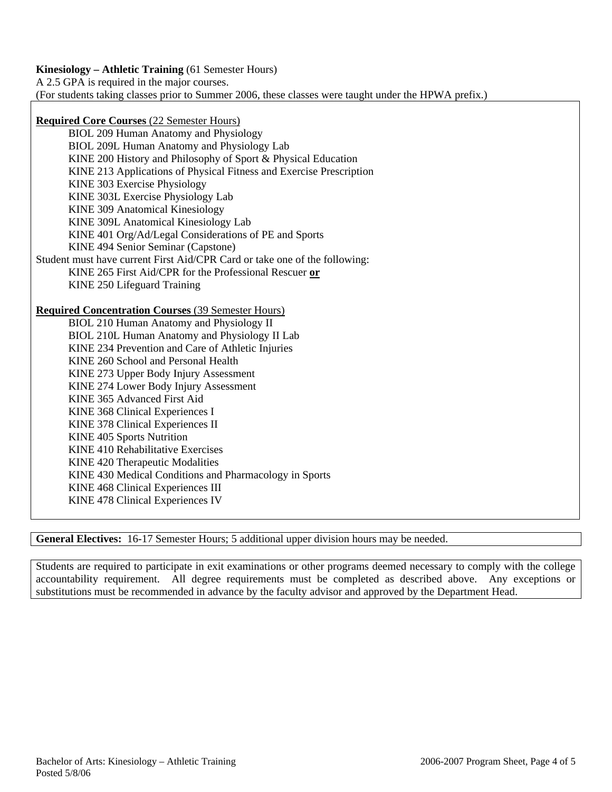**Kinesiology – Athletic Training** (61 Semester Hours)

A 2.5 GPA is required in the major courses.

(For students taking classes prior to Summer 2006, these classes were taught under the HPWA prefix.)

**Required Core Courses** (22 Semester Hours)

BIOL 209 Human Anatomy and Physiology BIOL 209L Human Anatomy and Physiology Lab KINE 200 History and Philosophy of Sport & Physical Education KINE 213 Applications of Physical Fitness and Exercise Prescription KINE 303 Exercise Physiology KINE 303L Exercise Physiology Lab KINE 309 Anatomical Kinesiology KINE 309L Anatomical Kinesiology Lab KINE 401 Org/Ad/Legal Considerations of PE and Sports KINE 494 Senior Seminar (Capstone) Student must have current First Aid/CPR Card or take one of the following: KINE 265 First Aid/CPR for the Professional Rescuer **or** KINE 250 Lifeguard Training

**Required Concentration Courses** (39 Semester Hours)

BIOL 210 Human Anatomy and Physiology II BIOL 210L Human Anatomy and Physiology II Lab KINE 234 Prevention and Care of Athletic Injuries KINE 260 School and Personal Health KINE 273 Upper Body Injury Assessment KINE 274 Lower Body Injury Assessment KINE 365 Advanced First Aid KINE 368 Clinical Experiences I KINE 378 Clinical Experiences II KINE 405 Sports Nutrition KINE 410 Rehabilitative Exercises KINE 420 Therapeutic Modalities KINE 430 Medical Conditions and Pharmacology in Sports KINE 468 Clinical Experiences III KINE 478 Clinical Experiences IV

**General Electives:** 16-17 Semester Hours; 5 additional upper division hours may be needed.

Students are required to participate in exit examinations or other programs deemed necessary to comply with the college accountability requirement. All degree requirements must be completed as described above. Any exceptions or substitutions must be recommended in advance by the faculty advisor and approved by the Department Head.